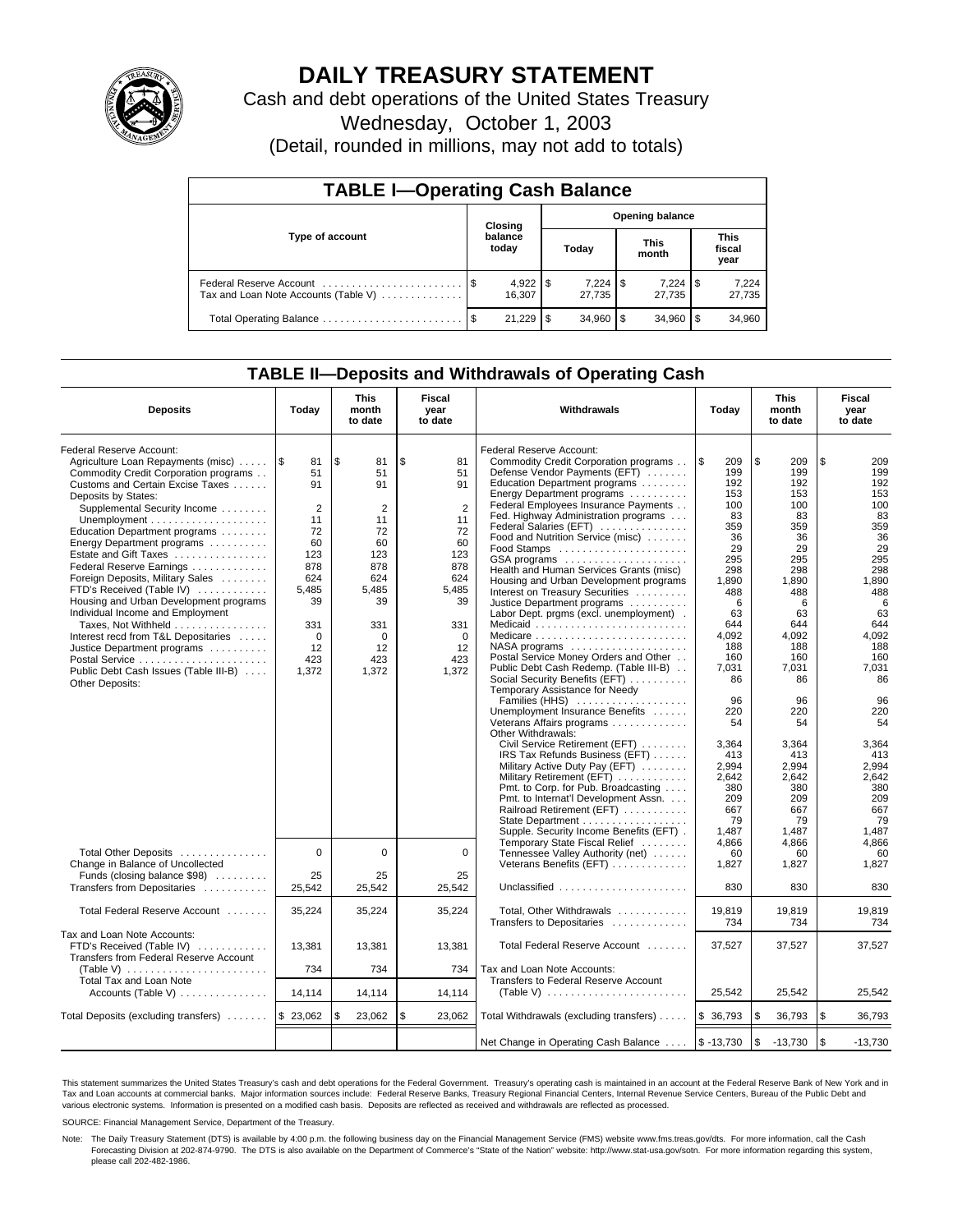

# **DAILY TREASURY STATEMENT**

Cash and debt operations of the United States Treasury

Wednesday, October 1, 2003

(Detail, rounded in millions, may not add to totals)

| <b>TABLE I-Operating Cash Balance</b> |  |                        |                        |        |                      |                 |                               |                 |  |  |
|---------------------------------------|--|------------------------|------------------------|--------|----------------------|-----------------|-------------------------------|-----------------|--|--|
|                                       |  | Closing                | <b>Opening balance</b> |        |                      |                 |                               |                 |  |  |
| Type of account                       |  | balance<br>today       | Today                  |        | <b>This</b><br>month |                 | <b>This</b><br>fiscal<br>year |                 |  |  |
| Tax and Loan Note Accounts (Table V)  |  | $4,922$   \$<br>16.307 |                        | 27.735 |                      | 7,224<br>27.735 | 1 S                           | 7,224<br>27,735 |  |  |
|                                       |  | 21.229                 | - \$                   | 34,960 |                      | 34.960          |                               | 34,960          |  |  |

## **TABLE II—Deposits and Withdrawals of Operating Cash**

| <b>Deposits</b>                                                                                                                                                                                                                                                                                                                                                                                                                                                                                                                                                                                                                                                                                                    | Today                                                                                                                           | <b>This</b><br>month<br>to date                                                                                                | Fiscal<br><b>Withdrawals</b><br>year<br>Today<br>to date                                                                              |                                                                                                                                                                                                                                                                                                                                                                                                                                                                                                                                                                                                                                                                                                                                                               | <b>This</b><br>month<br>to date                                                                                                                             | Fiscal<br>year<br>to date                                                                                                                                  |                                                                                                                                                            |
|--------------------------------------------------------------------------------------------------------------------------------------------------------------------------------------------------------------------------------------------------------------------------------------------------------------------------------------------------------------------------------------------------------------------------------------------------------------------------------------------------------------------------------------------------------------------------------------------------------------------------------------------------------------------------------------------------------------------|---------------------------------------------------------------------------------------------------------------------------------|--------------------------------------------------------------------------------------------------------------------------------|---------------------------------------------------------------------------------------------------------------------------------------|---------------------------------------------------------------------------------------------------------------------------------------------------------------------------------------------------------------------------------------------------------------------------------------------------------------------------------------------------------------------------------------------------------------------------------------------------------------------------------------------------------------------------------------------------------------------------------------------------------------------------------------------------------------------------------------------------------------------------------------------------------------|-------------------------------------------------------------------------------------------------------------------------------------------------------------|------------------------------------------------------------------------------------------------------------------------------------------------------------|------------------------------------------------------------------------------------------------------------------------------------------------------------|
| Federal Reserve Account:<br>Agriculture Loan Repayments (misc)<br>Commodity Credit Corporation programs<br>Customs and Certain Excise Taxes<br>Deposits by States:<br>Supplemental Security Income<br>Unemployment $\dots\dots\dots\dots\dots\dots\dots\dots$<br>Education Department programs<br>Energy Department programs<br>Estate and Gift Taxes<br>Federal Reserve Earnings<br>Foreign Deposits, Military Sales<br>FTD's Received (Table IV)<br>Housing and Urban Development programs<br>Individual Income and Employment<br>Taxes, Not Withheld<br>Interest recd from T&L Depositaries<br>Justice Department programs<br>Postal Service<br>Public Debt Cash Issues (Table III-B)<br><b>Other Deposits:</b> | 1\$<br>81<br>51<br>91<br>$\overline{2}$<br>11<br>72<br>60<br>123<br>878<br>624<br>5,485<br>39<br>331<br>0<br>12<br>423<br>1,372 | \$<br>81<br>51<br>91<br>$\overline{2}$<br>11<br>72<br>60<br>123<br>878<br>624<br>5,485<br>39<br>331<br>0<br>12<br>423<br>1,372 | \$<br>81<br>51<br>91<br>$\overline{2}$<br>11<br>72<br>60<br>123<br>878<br>624<br>5,485<br>39<br>331<br>$\Omega$<br>12<br>423<br>1,372 | Federal Reserve Account:<br>Commodity Credit Corporation programs<br>Defense Vendor Payments (EFT)<br>Education Department programs<br>Energy Department programs<br>Federal Employees Insurance Payments<br>Fed. Highway Administration programs<br>Federal Salaries (EFT)<br>Food and Nutrition Service (misc)<br>GSA programs<br>Health and Human Services Grants (misc)<br>Housing and Urban Development programs<br>Interest on Treasury Securities<br>Justice Department programs<br>Labor Dept. prgms (excl. unemployment).<br>Medicare<br>$NASA$ programs $\ldots \ldots \ldots \ldots \ldots$<br>Postal Service Money Orders and Other<br>Public Debt Cash Redemp. (Table III-B)<br>Social Security Benefits (EFT)<br>Temporary Assistance for Needy | ۱\$<br>209<br>199<br>192<br>153<br>100<br>83<br>359<br>36<br>29<br>295<br>298<br>1,890<br>488<br>6<br>63<br>644<br>4.092<br>188<br>160<br>7,031<br>86<br>96 | \$<br>209<br>199<br>192<br>153<br>100<br>83<br>359<br>36<br>29<br>295<br>298<br>1,890<br>488<br>6<br>63<br>644<br>4.092<br>188<br>160<br>7,031<br>86<br>96 | \$<br>209<br>199<br>192<br>153<br>100<br>83<br>359<br>36<br>29<br>295<br>298<br>1,890<br>488<br>6<br>63<br>644<br>4.092<br>188<br>160<br>7,031<br>86<br>96 |
|                                                                                                                                                                                                                                                                                                                                                                                                                                                                                                                                                                                                                                                                                                                    |                                                                                                                                 |                                                                                                                                |                                                                                                                                       | Families (HHS)<br>Unemployment Insurance Benefits<br>Veterans Affairs programs<br>Other Withdrawals:<br>Civil Service Retirement (EFT)<br>IRS Tax Refunds Business (EFT)<br>Military Active Duty Pay (EFT)<br>Military Retirement (EFT)<br>Pmt. to Corp. for Pub. Broadcasting<br>Pmt. to Internat'l Development Assn.<br>Railroad Retirement (EFT)<br>State Department<br>Supple. Security Income Benefits (EFT).                                                                                                                                                                                                                                                                                                                                            | 220<br>54<br>3,364<br>413<br>2,994<br>2,642<br>380<br>209<br>667<br>79<br>1,487                                                                             | 220<br>54<br>3,364<br>413<br>2,994<br>2,642<br>380<br>209<br>667<br>79<br>1.487                                                                            | 220<br>54<br>3,364<br>413<br>2,994<br>2,642<br>380<br>209<br>667<br>79<br>1,487                                                                            |
| Total Other Deposits<br>Change in Balance of Uncollected<br>Funds (closing balance \$98)                                                                                                                                                                                                                                                                                                                                                                                                                                                                                                                                                                                                                           | 0<br>25                                                                                                                         | 0<br>25                                                                                                                        | $\Omega$<br>25                                                                                                                        | Temporary State Fiscal Relief<br>Tennessee Valley Authority (net)<br>Veterans Benefits (EFT)                                                                                                                                                                                                                                                                                                                                                                                                                                                                                                                                                                                                                                                                  | 4,866<br>60<br>1,827                                                                                                                                        | 4,866<br>60<br>1,827                                                                                                                                       | 4,866<br>60<br>1,827                                                                                                                                       |
| Transfers from Depositaries<br>Total Federal Reserve Account                                                                                                                                                                                                                                                                                                                                                                                                                                                                                                                                                                                                                                                       | 25,542<br>35,224                                                                                                                | 25,542<br>35,224                                                                                                               | 25,542<br>35,224                                                                                                                      | Unclassified $\ldots$ , , , , , ,<br>Total, Other Withdrawals<br>Transfers to Depositaries                                                                                                                                                                                                                                                                                                                                                                                                                                                                                                                                                                                                                                                                    | 830<br>19,819<br>734                                                                                                                                        | 830<br>19,819<br>734                                                                                                                                       | 830<br>19,819<br>734                                                                                                                                       |
| Tax and Loan Note Accounts:<br>FTD's Received (Table IV)<br>Transfers from Federal Reserve Account                                                                                                                                                                                                                                                                                                                                                                                                                                                                                                                                                                                                                 | 13,381                                                                                                                          | 13,381                                                                                                                         | 13,381                                                                                                                                | Total Federal Reserve Account                                                                                                                                                                                                                                                                                                                                                                                                                                                                                                                                                                                                                                                                                                                                 | 37,527                                                                                                                                                      | 37,527                                                                                                                                                     | 37,527                                                                                                                                                     |
| (Table V) $\ldots \ldots \ldots \ldots \ldots \ldots \ldots$<br>Total Tax and Loan Note<br>Accounts (Table V) $\ldots$ , , ,                                                                                                                                                                                                                                                                                                                                                                                                                                                                                                                                                                                       | 734<br>14.114                                                                                                                   | 734<br>14,114                                                                                                                  | 734<br>14,114                                                                                                                         | Tax and Loan Note Accounts:<br>Transfers to Federal Reserve Account                                                                                                                                                                                                                                                                                                                                                                                                                                                                                                                                                                                                                                                                                           | 25.542                                                                                                                                                      | 25.542                                                                                                                                                     | 25.542                                                                                                                                                     |
| Total Deposits (excluding transfers)                                                                                                                                                                                                                                                                                                                                                                                                                                                                                                                                                                                                                                                                               | \$23,062                                                                                                                        | 23,062                                                                                                                         | \$<br>23,062                                                                                                                          | Total Withdrawals (excluding transfers)                                                                                                                                                                                                                                                                                                                                                                                                                                                                                                                                                                                                                                                                                                                       | \$36,793                                                                                                                                                    | \$<br>36,793                                                                                                                                               | l \$<br>36,793                                                                                                                                             |
|                                                                                                                                                                                                                                                                                                                                                                                                                                                                                                                                                                                                                                                                                                                    |                                                                                                                                 |                                                                                                                                |                                                                                                                                       | Net Change in Operating Cash Balance  \\$ -13,730                                                                                                                                                                                                                                                                                                                                                                                                                                                                                                                                                                                                                                                                                                             |                                                                                                                                                             | 1\$<br>$-13,730$                                                                                                                                           | 1\$<br>$-13,730$                                                                                                                                           |

This statement summarizes the United States Treasury's cash and debt operations for the Federal Government. Treasury's operating cash is maintained in an account at the Federal Reserve Bank of New York and in Tax and Loan accounts at commercial banks. Major information sources include: Federal Reserve Banks, Treasury Regional Financial Centers, Internal Revenue Service Centers, Bureau of the Public Debt and<br>various electronic s

SOURCE: Financial Management Service, Department of the Treasury.

Note: The Daily Treasury Statement (DTS) is available by 4:00 p.m. the following business day on the Financial Management Service (FMS) website www.fms.treas.gov/dts. For more information, call the Cash Forecasting Division at 202-874-9790. The DTS is also available on the Department of Commerce's "State of the Nation" website: http://www.stat-usa.gov/sotn. For more information regarding this system, please call 202-482-1986.